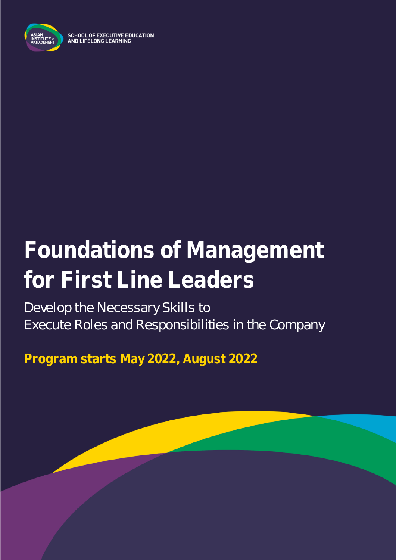

**SCHOOL OF EXECUTIVE EDUCATION** AND LIFELONG LEARNING

# **Foundations of Management for First Line Leaders**

Develop the Necessary Skills to Execute Roles and Responsibilities in the Company

**Program starts May 2022, August 2022**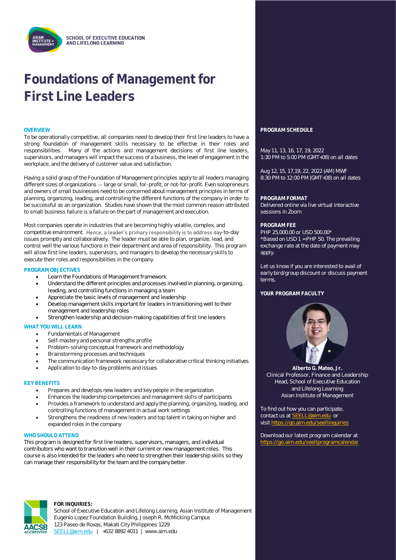## **Foundations of Management for First Line Leaders**

To be operationally competitive, all companies need to develop their first line leaders to have a strong foundation of management skills necessary to be effective in their roles and responsibilities. Many of the actions and management decisions of first line leaders, supervisors, and managers will impact the success of a business, the level of engagement in the workplace, and the delivery of customer value and satisfaction.

Having a solid grasp of the Foundation of Management principles apply to all leaders managing different sizes of organizations - large or small, for-profit, or not-for-profit. Even solopreneurs and owners of small businesses need to be concerned about management principles in terms of planning, organizing, leading, and controlling the different functions of the company in order to be successful as an organization. Studies have shown that the most common reason attributed to small business failure is a failure on the part of management and execution.

Most companies operate in industries that are becoming highly volatile, complex, and competitive environment. Hence, a leader's primary responsibility is to address day-to-day issues promptly and collaboratively. The leader must be able to plan, organize, lead, and control well the various functions in their department and area of responsibility. This program will allow first line leaders, supervisors, and managers to develop the necessary skills to execute their roles and responsibilities in the company.

#### **PROGRAM OBJECTIVES**

- Learn the Foundations of Management framework
- Understand the different principles and processes involved in planning, organizing, leading, and controlling functions in managing a team
- Appreciate the basic levels of management and leadership
- Develop management skills important for leaders in transitioning well to their management and leadership roles
- Strengthen leadership and decision-making capabilities of first line leaders

#### **WHAT YOU WILL LEARN**

- Fundamentals of Management
- Self-mastery and personal strengths profile
- Problem-solving conceptual framework and methodology
- Brainstorming processes and techniques
- The communication framework necessary for collaborative critical thinking initiatives
- Application to day-to-day problems and issues

#### **KEY BENEFITS**

- Prepares and develops new leaders and key people in the organization
- Enhances the leadership competencies and management skills of participants
- Provides a framework to understand and apply the planning, organizing, leading, and controlling functions of management in actual work settings
- Strengthens the readiness of new leaders and top talent in taking on higher and expanded roles in the company

#### WHO SHOULD ATTEND

This program is designed for first line leaders, supervisors, managers, and individual contributors who want to transition well in their current or new management roles. This course is also intended for the leaders who need to strengthen their leadership skills so they can manage their responsibility for the team and the company better.



#### **FOR INQUIRIES:**

School of Executive Education and Lifelong Learning, Asian Institute of Management Eugenio Lopez Foundation Building, Joseph R. McMicking Campus 123 Paseo de Roxas, Makati City Philippines 1229 [SEELL@aim.edu](mailto:SEELL@aim.edu) | +632 8892 4011 | www.aim.edu

#### **OVERVIEW PROGRAM SCHEDULE**

May 11, 13, 16, 17, 19, 2022 1:30 PM to 5:00 PM (GMT+08) on all dates

Aug 12, 15, 17,19, 22, 2022 (AM) MWF 8:30 PM to 12:00 PM (GMT+08) on all dates

#### **PROGRAM FORMAT**

Delivered online via live virtual interactive sessions in Zoom

#### **PROGRAM FEE**

PHP 25,000.00 or USD 500.00\* \*Based on USD 1 = PHP 50. The prevailing exchange rate at the date of payment may apply

Let us know if you are interested to avail of early bird/group discount or discuss payment terms.

#### **YOUR PROGRAM FACULTY**



**Alberto G. Mateo, Jr.** Clinical Professor, Finance and Leadership Head, School of Executive Education and Lifelong Learning Asian Institute of Management

To find out how you can participate, contact us at **SEELL@aim.edu** or visit<https://go.aim.edu/seellinquiries>

Download our latest program calendar at <https://go.aim.edu/seellprogramcalendar>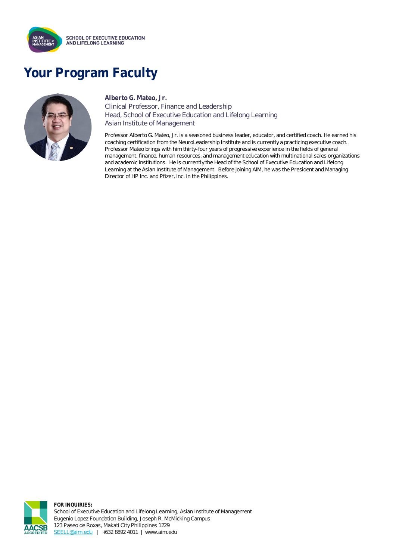

## **Your Program Faculty**



### **Alberto G. Mateo, Jr.**  Clinical Professor, Finance and Leadership Head, School of Executive Education and Lifelong Learning Asian Institute of Management

Professor Alberto G. Mateo, Jr. is a seasoned business leader, educator, and certified coach. He earned his coaching certification from the NeuroLeadership Institute and is currently a practicing executive coach. Professor Mateo brings with him thirty-four years of progressive experience in the fields of general management, finance, human resources, and management education with multinational sales organizations and academic institutions. He is currently the Head of the School of Executive Education and Lifelong Learning at the Asian Institute of Management. Before joining AIM, he was the President and Managing Director of HP Inc. and Pfizer, Inc. in the Philippines.



**FOR INQUIRIES:** School of Executive Education and Lifelong Learning, Asian Institute of Management Eugenio Lopez Foundation Building, Joseph R. McMicking Campus 123 Paseo de Roxas, Makati City Philippines 1229 [SEELL@aim.edu](mailto:SEELL@aim.edu) | +632 8892 4011 | www.aim.edu